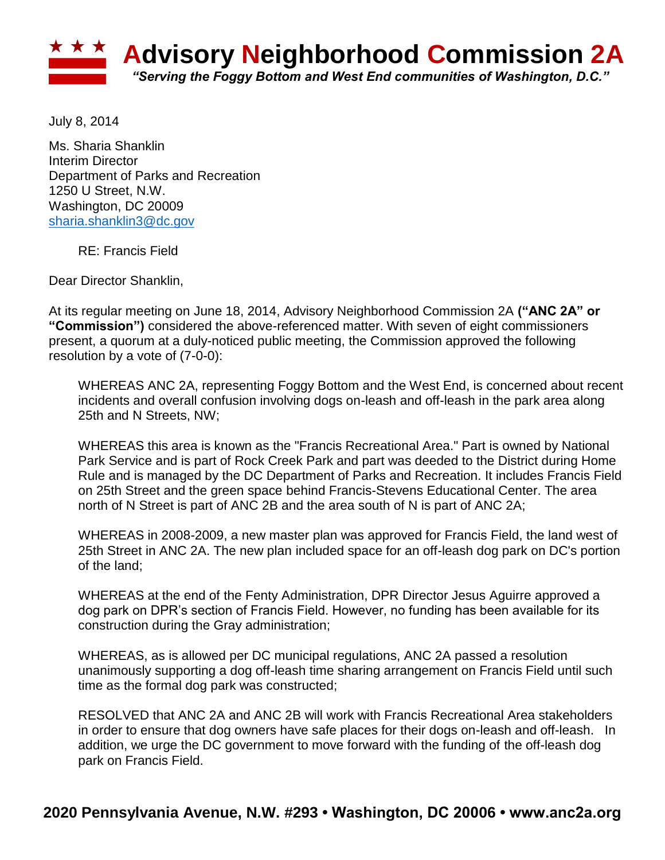

July 8, 2014

Ms. Sharia Shanklin Interim Director Department of Parks and Recreation 1250 U Street, N.W. Washington, DC 20009 [sharia.shanklin3@dc.gov](mailto:sharia.shanklin3@dc.gov)

RE: Francis Field

Dear Director Shanklin,

At its regular meeting on June 18, 2014, Advisory Neighborhood Commission 2A **("ANC 2A" or "Commission")** considered the above-referenced matter. With seven of eight commissioners present, a quorum at a duly-noticed public meeting, the Commission approved the following resolution by a vote of (7-0-0):

WHEREAS ANC 2A, representing Foggy Bottom and the West End, is concerned about recent incidents and overall confusion involving dogs on-leash and off-leash in the park area along 25th and N Streets, NW;

WHEREAS this area is known as the "Francis Recreational Area." Part is owned by National Park Service and is part of Rock Creek Park and part was deeded to the District during Home Rule and is managed by the DC Department of Parks and Recreation. It includes Francis Field on 25th Street and the green space behind Francis-Stevens Educational Center. The area north of N Street is part of ANC 2B and the area south of N is part of ANC 2A;

WHEREAS in 2008-2009, a new master plan was approved for Francis Field, the land west of 25th Street in ANC 2A. The new plan included space for an off-leash dog park on DC's portion of the land;

WHEREAS at the end of the Fenty Administration, DPR Director Jesus Aguirre approved a dog park on DPR's section of Francis Field. However, no funding has been available for its construction during the Gray administration;

WHEREAS, as is allowed per DC municipal regulations, ANC 2A passed a resolution unanimously supporting a dog off-leash time sharing arrangement on Francis Field until such time as the formal dog park was constructed;

RESOLVED that ANC 2A and ANC 2B will work with Francis Recreational Area stakeholders in order to ensure that dog owners have safe places for their dogs on-leash and off-leash. In addition, we urge the DC government to move forward with the funding of the off-leash dog park on Francis Field.